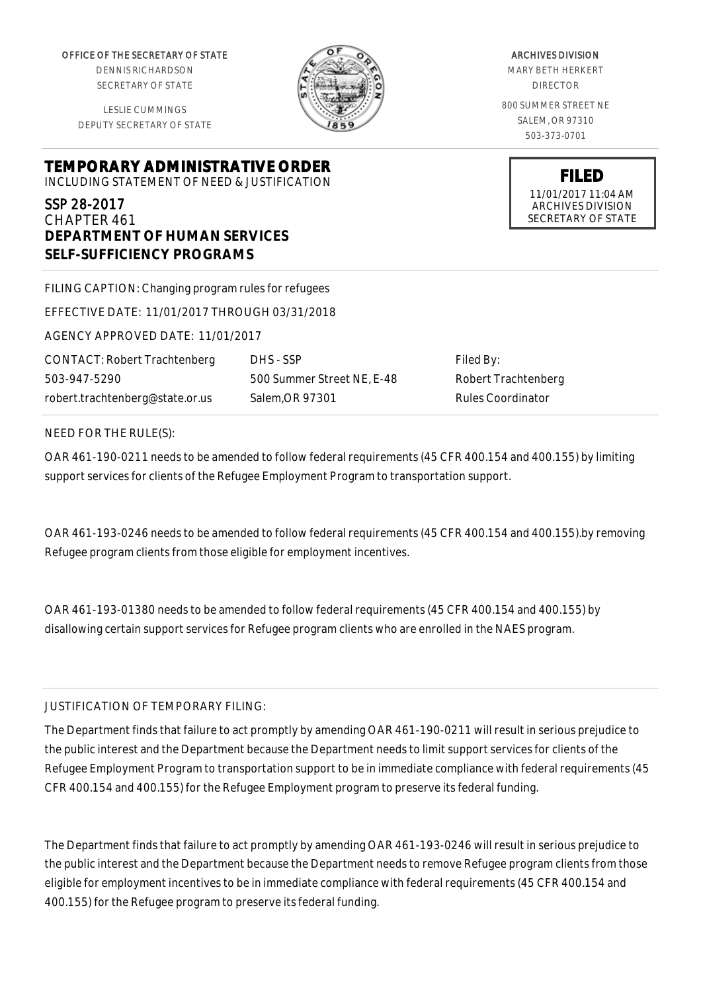OFFICE OF THE SECRETARY OF STATE

DENNIS RICHARDSON SECRETARY OF STATE

LESLIE CUMMINGS DEPUTY SECRETARY OF STATE

**TEMPORARY ADMINISTRATIVE ORDER**

INCLUDING STATEMENT OF NEED & JUSTIFICATION

# SSP 28-2017

CHAPTER 461 **DEPARTMENT OF HUMAN SERVICES SELF-SUFFICIENCY PROGRAMS**

| FILING CAPTION: Changing program rules for refugees |                       |
|-----------------------------------------------------|-----------------------|
| EFFECTIVE DATE: 11/01/2017 THROUGH 03/31/2018       |                       |
| AGENCY APPROVED DATE: 11/01/2017                    |                       |
| <b>CONTACT: Robert Trachtenberg</b>                 | DHS - SSP             |
| 503-947-5290                                        | 500 Summer Street NE, |
| robert.trachtenberg@state.or.us                     | Salem, OR 97301       |

Filed By: Robert Trachtenberg Rules Coordinator

#### NEED FOR THE RULE(S):

OAR 461-190-0211 needs to be amended to follow federal requirements (45 CFR 400.154 and 400.155) by limiting support services for clients of the Refugee Employment Program to transportation support.

 $E-48$ 

OAR 461-193-0246 needs to be amended to follow federal requirements (45 CFR 400.154 and 400.155).by removing Refugee program clients from those eligible for employment incentives.

OAR 461-193-01380 needs to be amended to follow federal requirements (45 CFR 400.154 and 400.155) by disallowing certain support services for Refugee program clients who are enrolled in the NAES program.

#### JUSTIFICATION OF TEMPORARY FILING:

The Department finds that failure to act promptly by amending OAR 461-190-0211 will result in serious prejudice to the public interest and the Department because the Department needs to limit support services for clients of the Refugee Employment Program to transportation support to be in immediate compliance with federal requirements (45 CFR 400.154 and 400.155) for the Refugee Employment program to preserve its federal funding.

The Department finds that failure to act promptly by amending OAR 461-193-0246 will result in serious prejudice to the public interest and the Department because the Department needs to remove Refugee program clients from those eligible for employment incentives to be in immediate compliance with federal requirements (45 CFR 400.154 and 400.155) for the Refugee program to preserve its federal funding.



### ARCHIVES DIVISION MARY BETH HERKERT

DIRECTOR 800 SUMMER STREET NE SALEM, OR 97310 503-373-0701

> **FILED** 11/01/2017 11:04 AM ARCHIVES DIVISION SECRETARY OF STATE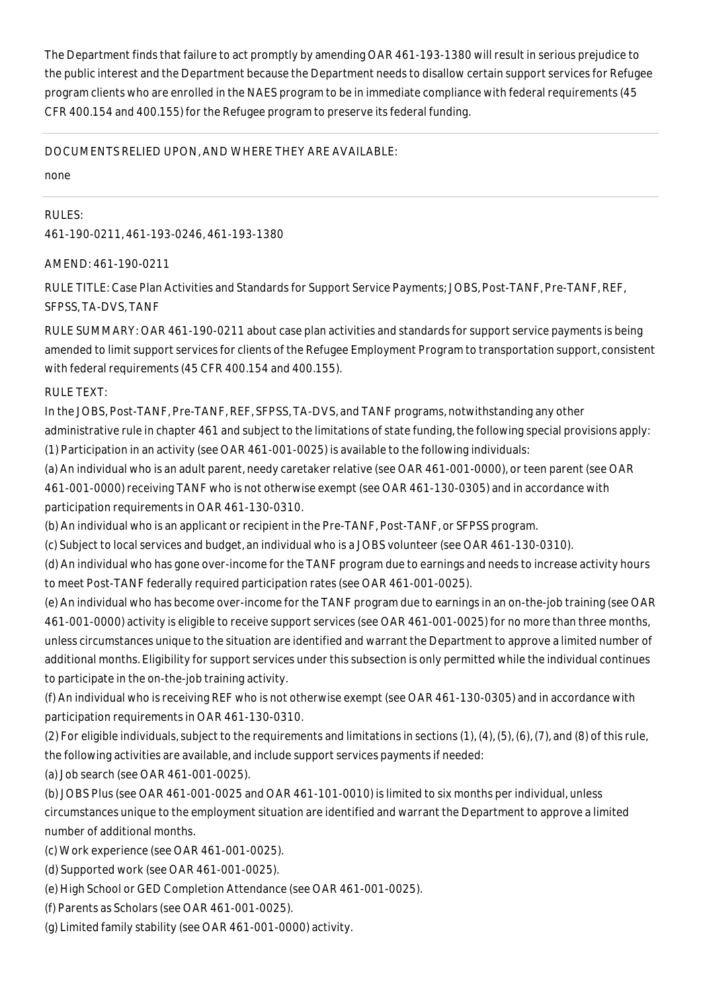The Department finds that failure to act promptly by amending OAR 461-193-1380 will result in serious prejudice to the public interest and the Department because the Department needs to disallow certain support services for Refugee program clients who are enrolled in the NAES program to be in immediate compliance with federal requirements (45 CFR 400.154 and 400.155) for the Refugee program to preserve its federal funding.

#### DOCUMENTS RELIED UPON, AND WHERE THEY ARE AVAILABLE:

none

RULES: 461-190-0211, 461-193-0246, 461-193-1380

## AMEND: 461-190-0211

RULE TITLE: Case Plan Activities and Standards for Support Service Payments; JOBS, Post-TANF, Pre-TANF, REF, SFPSS, TA-DVS, TANF

RULE SUMMARY: OAR 461-190-0211 about case plan activities and standards for support service payments is being amended to limit support services for clients of the Refugee Employment Program to transportation support, consistent with federal requirements (45 CFR 400.154 and 400.155).

RULE TEXT:

In the JOBS, Post-TANF, Pre-TANF, REF, SFPSS, TA-DVS, and TANF programs, notwithstanding any other

administrative rule in chapter 461 and subject to the limitations of state funding, the following special provisions apply: (1) Participation in an activity (see OAR 461-001-0025) is available to the following individuals:

(a) An individual who is an adult parent, needy caretaker relative (see OAR 461-001-0000), or teen parent (see OAR 461-001-0000) receiving TANF who is not otherwise exempt (see OAR 461-130-0305) and in accordance with participation requirements in OAR 461-130-0310.

(b) An individual who is an applicant or recipient in the Pre-TANF, Post-TANF, or SFPSS program.

(c) Subject to local services and budget, an individual who is a JOBS volunteer (see OAR 461-130-0310).

(d) An individual who has gone over-income for the TANF program due to earnings and needs to increase activity hours to meet Post-TANF federally required participation rates (see OAR 461-001-0025).

(e) An individual who has become over-income for the TANF program due to earnings in an on-the-job training (see OAR 461-001-0000) activity is eligible to receive support services (see OAR 461-001-0025) for no more than three months, unless circumstances unique to the situation are identified and warrant the Department to approve a limited number of additional months. Eligibility for support services under this subsection is only permitted while the individual continues to participate in the on-the-job training activity.

(f) An individual who is receiving REF who is not otherwise exempt (see OAR 461-130-0305) and in accordance with participation requirements in OAR 461-130-0310.

(2) For eligible individuals, subject to the requirements and limitations in sections (1), (4), (5), (6), (7), and (8) of this rule, the following activities are available, and include support services payments if needed:

(a) Job search (see OAR 461-001-0025).

(b) JOBS Plus (see OAR 461-001-0025 and OAR 461-101-0010) is limited to six months per individual, unless circumstances unique to the employment situation are identified and warrant the Department to approve a limited number of additional months.

(c) Work experience (see OAR 461-001-0025).

- (d) Supported work (see OAR 461-001-0025).
- (e) High School or GED Completion Attendance (see OAR 461-001-0025).
- (f) Parents as Scholars (see OAR 461-001-0025).
- (g) Limited family stability (see OAR 461-001-0000) activity.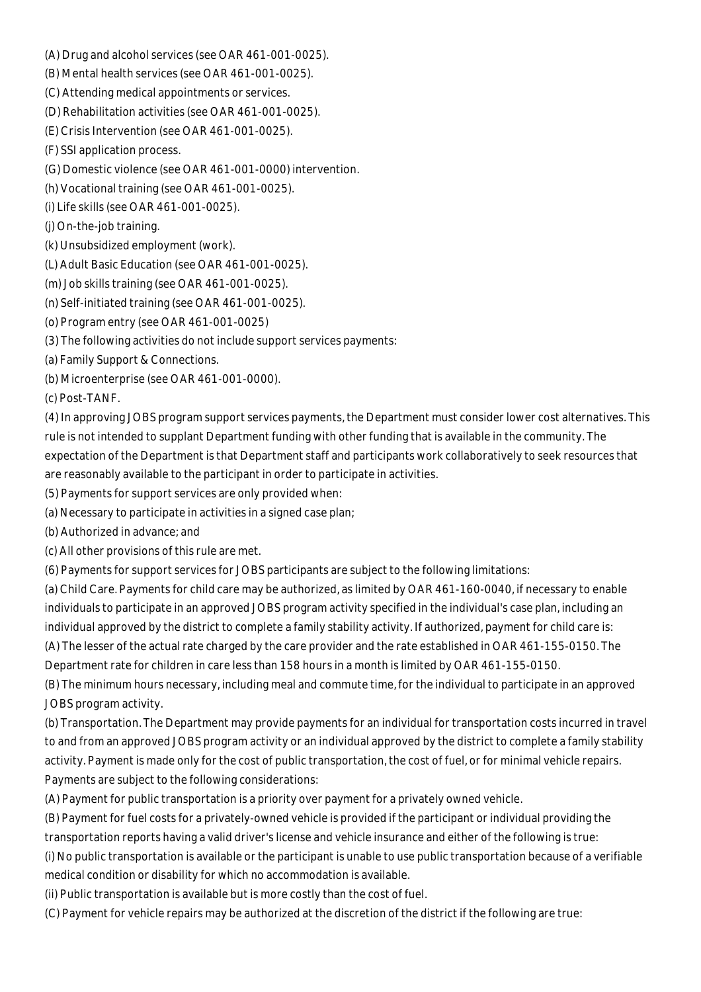- (A) Drug and alcohol services (see OAR 461-001-0025).
- (B) Mental health services (see OAR 461-001-0025).
- (C) Attending medical appointments or services.
- (D) Rehabilitation activities (see OAR 461-001-0025).
- (E) Crisis Intervention (see OAR 461-001-0025).
- (F) SSI application process.
- (G) Domestic violence (see OAR 461-001-0000) intervention.
- (h) Vocational training (see OAR 461-001-0025).
- (i) Life skills (see OAR 461-001-0025).
- (j) On-the-job training.
- (k) Unsubsidized employment (work).
- (L) Adult Basic Education (see OAR 461-001-0025).
- (m) Job skills training (see OAR 461-001-0025).
- (n) Self-initiated training (see OAR 461-001-0025).
- (o) Program entry (see OAR 461-001-0025)
- (3) The following activities do not include support services payments:
- (a) Family Support & Connections.
- (b) Microenterprise (see OAR 461-001-0000).

(c) Post-TANF.

(4) In approving JOBS program support services payments, the Department must consider lower cost alternatives. This rule is not intended to supplant Department funding with other funding that is available in the community. The expectation of the Department is that Department staff and participants work collaboratively to seek resources that are reasonably available to the participant in order to participate in activities.

- (5) Payments for support services are only provided when:
- (a) Necessary to participate in activities in a signed case plan;
- (b) Authorized in advance; and
- (c) All other provisions of this rule are met.
- (6) Payments for support services for JOBS participants are subject to the following limitations:

(a) Child Care. Payments for child care may be authorized, as limited by OAR 461-160-0040, if necessary to enable individuals to participate in an approved JOBS program activity specified in the individual's case plan, including an individual approved by the district to complete a family stability activity. If authorized, payment for child care is: (A) The lesser of the actual rate charged by the care provider and the rate established in OAR 461-155-0150. The Department rate for children in care less than 158 hours in a month is limited by OAR 461-155-0150.

(B) The minimum hours necessary, including meal and commute time, for the individual to participate in an approved JOBS program activity.

(b) Transportation. The Department may provide payments for an individual for transportation costs incurred in travel to and from an approved JOBS program activity or an individual approved by the district to complete a family stability activity. Payment is made only for the cost of public transportation, the cost of fuel, or for minimal vehicle repairs. Payments are subject to the following considerations:

(A) Payment for public transportation is a priority over payment for a privately owned vehicle.

(B) Payment for fuel costs for a privately-owned vehicle is provided if the participant or individual providing the transportation reports having a valid driver's license and vehicle insurance and either of the following is true:

(i) No public transportation is available or the participant is unable to use public transportation because of a verifiable

medical condition or disability for which no accommodation is available.

(ii) Public transportation is available but is more costly than the cost of fuel.

(C) Payment for vehicle repairs may be authorized at the discretion of the district if the following are true: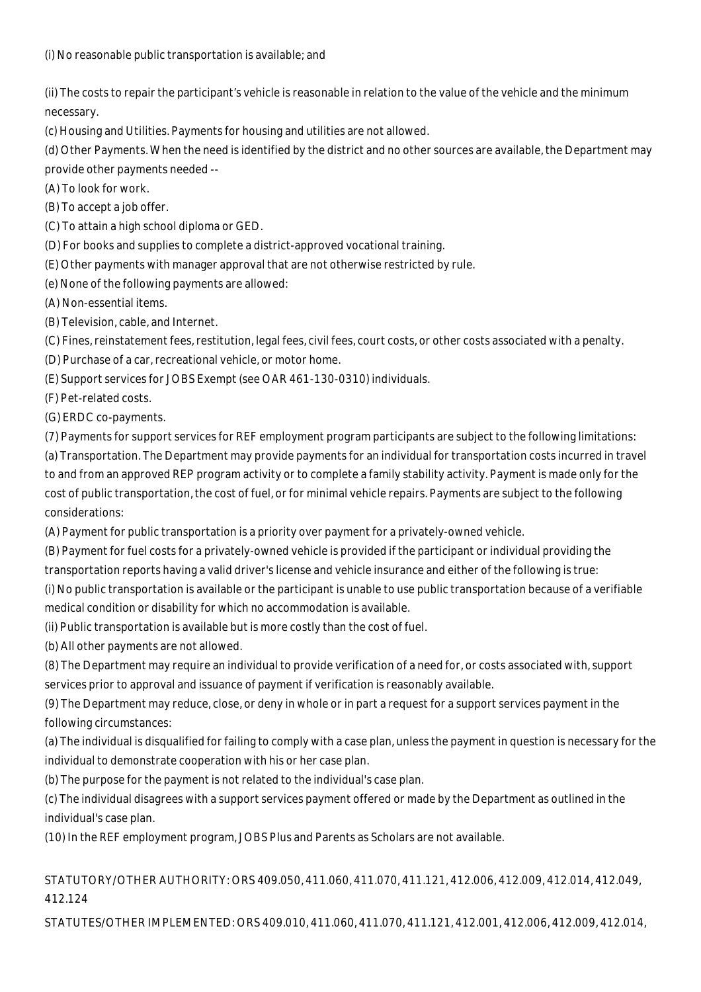(ii) The costs to repair the participant's vehicle is reasonable in relation to the value of the vehicle and the minimum necessary.

(c) Housing and Utilities. Payments for housing and utilities are not allowed.

(d) Other Payments. When the need is identified by the district and no other sources are available, the Department may provide other payments needed --

(A) To look for work.

(B) To accept a job offer.

(C) To attain a high school diploma or GED.

(D) For books and supplies to complete a district-approved vocational training.

(E) Other payments with manager approval that are not otherwise restricted by rule.

(e) None of the following payments are allowed:

(A) Non-essential items.

(B) Television, cable, and Internet.

(C) Fines, reinstatement fees, restitution, legal fees, civil fees, court costs, or other costs associated with a penalty.

(D) Purchase of a car, recreational vehicle, or motor home.

(E) Support services for JOBS Exempt (see OAR 461-130-0310) individuals.

(F) Pet-related costs.

(G) ERDC co-payments.

(7) Payments for support services for REF employment program participants are subject to the following limitations: (a) Transportation. The Department may provide payments for an individual for transportation costs incurred in travel to and from an approved REP program activity or to complete a family stability activity. Payment is made only for the cost of public transportation, the cost of fuel, or for minimal vehicle repairs. Payments are subject to the following

considerations:

(A) Payment for public transportation is a priority over payment for a privately-owned vehicle.

(B) Payment for fuel costs for a privately-owned vehicle is provided if the participant or individual providing the transportation reports having a valid driver's license and vehicle insurance and either of the following is true:

(i) No public transportation is available or the participant is unable to use public transportation because of a verifiable medical condition or disability for which no accommodation is available.

(ii) Public transportation is available but is more costly than the cost of fuel.

(b) All other payments are not allowed.

(8) The Department may require an individual to provide verification of a need for, or costs associated with, support services prior to approval and issuance of payment if verification is reasonably available.

(9) The Department may reduce, close, or deny in whole or in part a request for a support services payment in the following circumstances:

(a) The individual is disqualified for failing to comply with a case plan, unless the payment in question is necessary for the individual to demonstrate cooperation with his or her case plan.

(b) The purpose for the payment is not related to the individual's case plan.

(c) The individual disagrees with a support services payment offered or made by the Department as outlined in the individual's case plan.

(10) In the REF employment program, JOBS Plus and Parents as Scholars are not available.

# STATUTORY/OTHER AUTHORITY: ORS 409.050, 411.060, 411.070, 411.121, 412.006, 412.009, 412.014, 412.049, 412.124

STATUTES/OTHER IMPLEMENTED: ORS 409.010, 411.060, 411.070, 411.121, 412.001, 412.006, 412.009, 412.014,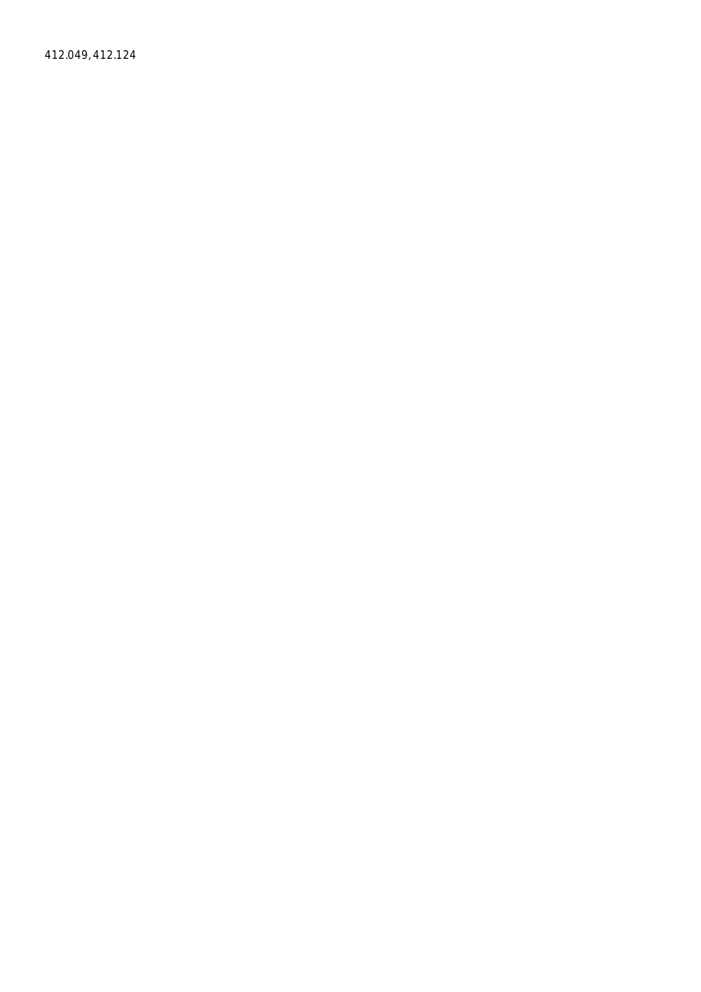412.049, 412.124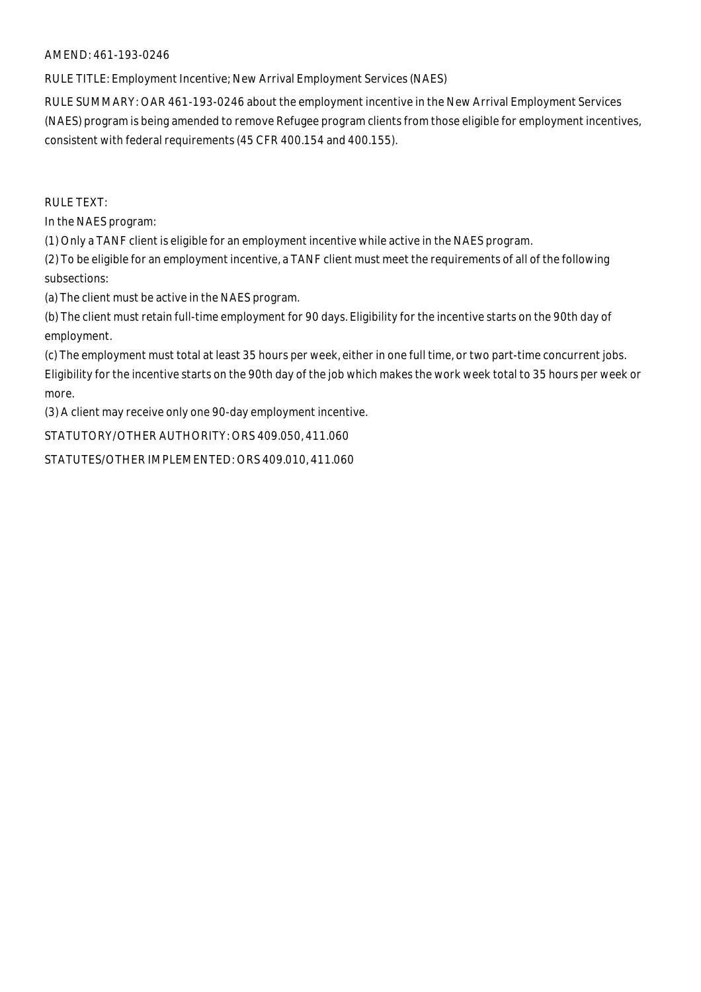#### AMEND: 461-193-0246

RULE TITLE: Employment Incentive; New Arrival Employment Services (NAES)

RULE SUMMARY: OAR 461-193-0246 about the employment incentive in the New Arrival Employment Services (NAES) program is being amended to remove Refugee program clients from those eligible for employment incentives, consistent with federal requirements (45 CFR 400.154 and 400.155).

RULE TEXT:

In the NAES program:

(1) Only a TANF client is eligible for an employment incentive while active in the NAES program.

(2) To be eligible for an employment incentive, a TANF client must meet the requirements of all of the following subsections:

(a) The client must be active in the NAES program.

(b) The client must retain full-time employment for 90 days. Eligibility for the incentive starts on the 90th day of employment.

(c) The employment must total at least 35 hours per week, either in one full time, or two part-time concurrent jobs. Eligibility for the incentive starts on the 90th day of the job which makes the work week total to 35 hours per week or more.

(3) A client may receive only one 90-day employment incentive.

STATUTORY/OTHER AUTHORITY: ORS 409.050, 411.060

STATUTES/OTHER IMPLEMENTED: ORS 409.010, 411.060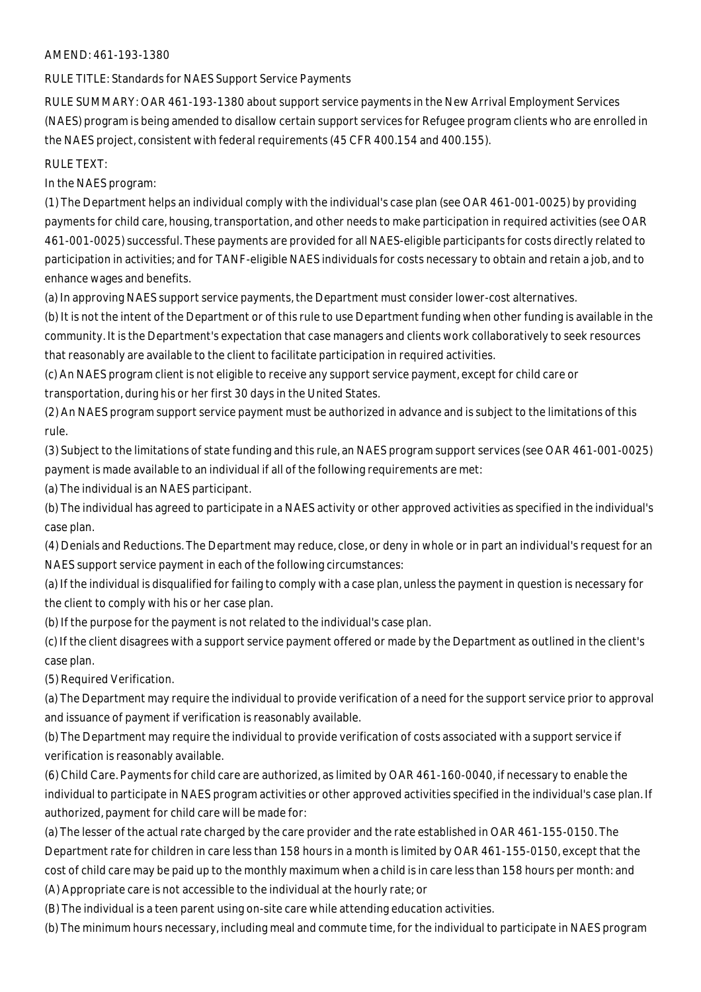#### AMEND: 461-193-1380

RULE TITLE: Standards for NAES Support Service Payments

RULE SUMMARY: OAR 461-193-1380 about support service payments in the New Arrival Employment Services (NAES) program is being amended to disallow certain support services for Refugee program clients who are enrolled in the NAES project, consistent with federal requirements (45 CFR 400.154 and 400.155).

RULE TEXT:

In the NAES program:

(1) The Department helps an individual comply with the individual's case plan (see OAR 461-001-0025) by providing payments for child care, housing, transportation, and other needs to make participation in required activities (see OAR 461-001-0025) successful. These payments are provided for all NAES-eligible participants for costs directly related to participation in activities; and for TANF-eligible NAES individuals for costs necessary to obtain and retain a job, and to enhance wages and benefits.

(a) In approving NAES support service payments, the Department must consider lower-cost alternatives.

(b) It is not the intent of the Department or of this rule to use Department funding when other funding is available in the community. It is the Department's expectation that case managers and clients work collaboratively to seek resources that reasonably are available to the client to facilitate participation in required activities.

(c) An NAES program client is not eligible to receive any support service payment, except for child care or transportation, during his or her first 30 days in the United States.

(2) An NAES program support service payment must be authorized in advance and is subject to the limitations of this rule.

(3) Subject to the limitations of state funding and this rule, an NAES program support services (see OAR 461-001-0025) payment is made available to an individual if all of the following requirements are met:

(a) The individual is an NAES participant.

(b) The individual has agreed to participate in a NAES activity or other approved activities as specified in the individual's case plan.

(4) Denials and Reductions. The Department may reduce, close, or deny in whole or in part an individual's request for an NAES support service payment in each of the following circumstances:

(a) If the individual is disqualified for failing to comply with a case plan, unless the payment in question is necessary for the client to comply with his or her case plan.

(b) If the purpose for the payment is not related to the individual's case plan.

(c) If the client disagrees with a support service payment offered or made by the Department as outlined in the client's case plan.

(5) Required Verification.

(a) The Department may require the individual to provide verification of a need for the support service prior to approval and issuance of payment if verification is reasonably available.

(b) The Department may require the individual to provide verification of costs associated with a support service if verification is reasonably available.

(6) Child Care. Payments for child care are authorized, as limited by OAR 461-160-0040, if necessary to enable the individual to participate in NAES program activities or other approved activities specified in the individual's case plan. If authorized, payment for child care will be made for:

(a) The lesser of the actual rate charged by the care provider and the rate established in OAR 461-155-0150. The Department rate for children in care less than 158 hours in a month is limited by OAR 461-155-0150, except that the cost of child care may be paid up to the monthly maximum when a child is in care less than 158 hours per month: and (A) Appropriate care is not accessible to the individual at the hourly rate; or

(B) The individual is a teen parent using on-site care while attending education activities.

(b) The minimum hours necessary, including meal and commute time, for the individual to participate in NAES program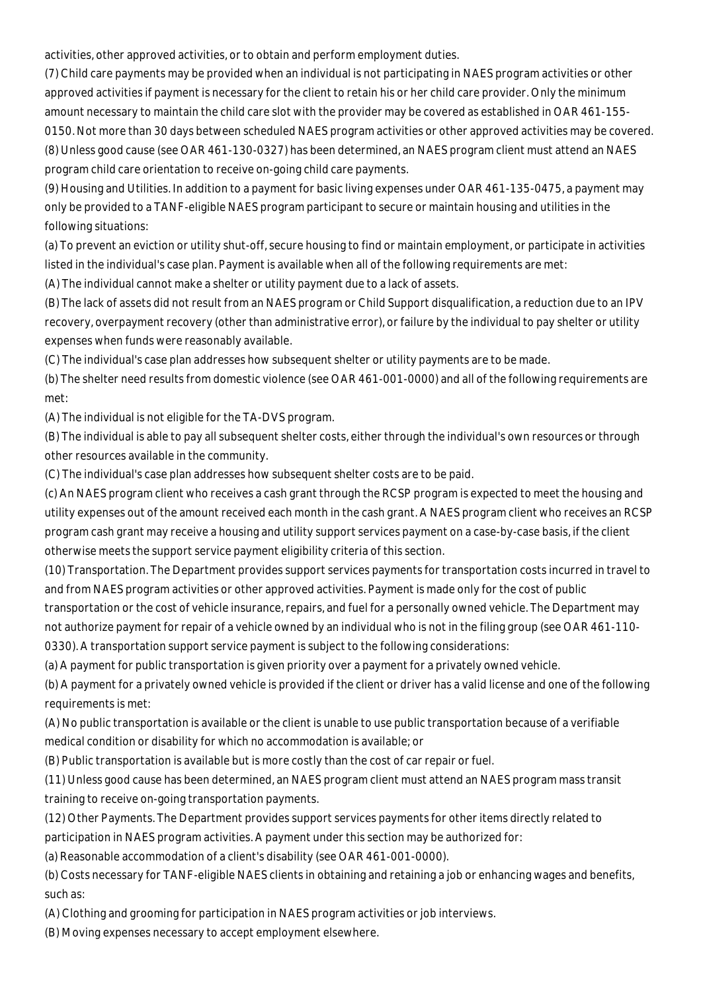activities, other approved activities, or to obtain and perform employment duties.

(7) Child care payments may be provided when an individual is not participating in NAES program activities or other approved activities if payment is necessary for the client to retain his or her child care provider. Only the minimum amount necessary to maintain the child care slot with the provider may be covered as established in OAR 461-155- 0150. Not more than 30 days between scheduled NAES program activities or other approved activities may be covered. (8) Unless good cause (see OAR 461-130-0327) has been determined, an NAES program client must attend an NAES program child care orientation to receive on-going child care payments.

(9) Housing and Utilities. In addition to a payment for basic living expenses under OAR 461-135-0475, a payment may only be provided to a TANF-eligible NAES program participant to secure or maintain housing and utilities in the following situations:

(a) To prevent an eviction or utility shut-off, secure housing to find or maintain employment, or participate in activities listed in the individual's case plan. Payment is available when all of the following requirements are met:

(A) The individual cannot make a shelter or utility payment due to a lack of assets.

(B) The lack of assets did not result from an NAES program or Child Support disqualification, a reduction due to an IPV recovery, overpayment recovery (other than administrative error), or failure by the individual to pay shelter or utility expenses when funds were reasonably available.

(C) The individual's case plan addresses how subsequent shelter or utility payments are to be made.

(b) The shelter need results from domestic violence (see OAR 461-001-0000) and all of the following requirements are met:

(A) The individual is not eligible for the TA-DVS program.

(B) The individual is able to pay all subsequent shelter costs, either through the individual's own resources or through other resources available in the community.

(C) The individual's case plan addresses how subsequent shelter costs are to be paid.

(c) An NAES program client who receives a cash grant through the RCSP program is expected to meet the housing and utility expenses out of the amount received each month in the cash grant. A NAES program client who receives an RCSP program cash grant may receive a housing and utility support services payment on a case-by-case basis, if the client otherwise meets the support service payment eligibility criteria of this section.

(10) Transportation. The Department provides support services payments for transportation costs incurred in travel to and from NAES program activities or other approved activities. Payment is made only for the cost of public

transportation or the cost of vehicle insurance, repairs, and fuel for a personally owned vehicle. The Department may not authorize payment for repair of a vehicle owned by an individual who is not in the filing group (see OAR 461-110- 0330). A transportation support service payment is subject to the following considerations:

(a) A payment for public transportation is given priority over a payment for a privately owned vehicle.

(b) A payment for a privately owned vehicle is provided if the client or driver has a valid license and one of the following requirements is met:

(A) No public transportation is available or the client is unable to use public transportation because of a verifiable medical condition or disability for which no accommodation is available; or

(B) Public transportation is available but is more costly than the cost of car repair or fuel.

(11) Unless good cause has been determined, an NAES program client must attend an NAES program mass transit training to receive on-going transportation payments.

(12) Other Payments. The Department provides support services payments for other items directly related to participation in NAES program activities. A payment under this section may be authorized for:

(a) Reasonable accommodation of a client's disability (see OAR 461-001-0000).

(b) Costs necessary for TANF-eligible NAES clients in obtaining and retaining a job or enhancing wages and benefits, such as:

(A) Clothing and grooming for participation in NAES program activities or job interviews.

(B) Moving expenses necessary to accept employment elsewhere.